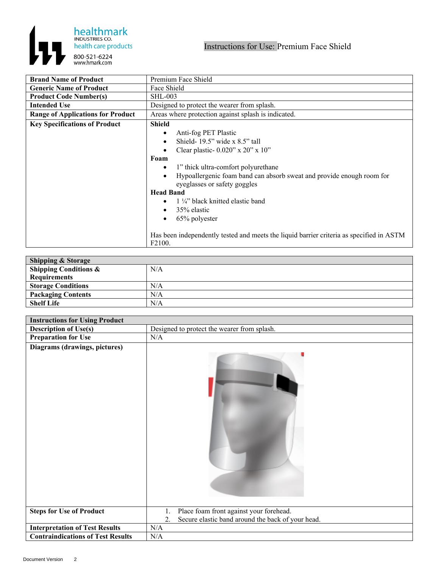

| <b>Brand Name of Product</b>             | Premium Face Shield                                                                      |
|------------------------------------------|------------------------------------------------------------------------------------------|
| <b>Generic Name of Product</b>           | Face Shield                                                                              |
| <b>Product Code Number(s)</b>            | <b>SHL-003</b>                                                                           |
| <b>Intended Use</b>                      | Designed to protect the wearer from splash.                                              |
| <b>Range of Applications for Product</b> | Areas where protection against splash is indicated.                                      |
| <b>Key Specifications of Product</b>     | <b>Shield</b>                                                                            |
|                                          | Anti-fog PET Plastic                                                                     |
|                                          | Shield- $19.5$ " wide x $8.5$ " tall                                                     |
|                                          | Clear plastic- $0.020$ " x $20$ " x $10$ "                                               |
|                                          | Foam                                                                                     |
|                                          | 1" thick ultra-comfort polyurethane                                                      |
|                                          | Hypoallergenic foam band can absorb sweat and provide enough room for                    |
|                                          | eyeglasses or safety goggles                                                             |
|                                          | <b>Head Band</b>                                                                         |
|                                          | 1 1/4" black knitted elastic band                                                        |
|                                          | 35% elastic<br>$\bullet$                                                                 |
|                                          | 65% polyester                                                                            |
|                                          |                                                                                          |
|                                          | Has been independently tested and meets the liquid barrier criteria as specified in ASTM |
|                                          | F <sub>2</sub> 100.                                                                      |

| <b>Shipping &amp; Storage</b>    |     |
|----------------------------------|-----|
| <b>Shipping Conditions &amp;</b> | N/A |
| Requirements                     |     |
| <b>Storage Conditions</b>        | N/A |
| <b>Packaging Contents</b>        | N/A |
| <b>Shelf Life</b>                | N/A |

| <b>Instructions for Using Product</b>    |                                                         |
|------------------------------------------|---------------------------------------------------------|
| <b>Description of Use(s)</b>             | Designed to protect the wearer from splash.             |
| <b>Preparation for Use</b>               | N/A                                                     |
| Diagrams (drawings, pictures)            |                                                         |
| <b>Steps for Use of Product</b>          | Place foam front against your forehead.                 |
|                                          | Secure elastic band around the back of your head.<br>2. |
| <b>Interpretation of Test Results</b>    | N/A                                                     |
| <b>Contraindications of Test Results</b> | N/A                                                     |